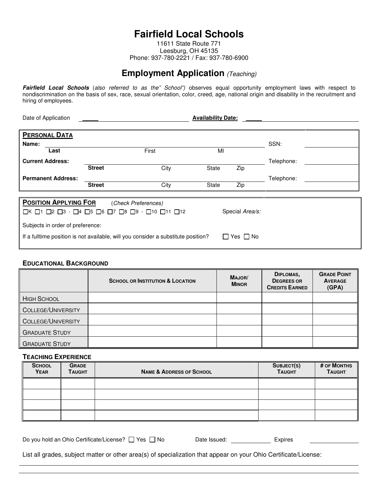# **Fairfield Local Schools**

11611 State Route 771 Leesburg, OH 45135 Phone: 937-780-2221 / Fax: 937-780-6900

# **Employment Application** (Teaching)

**Fairfield Local Schools** (also referred to as the" School") observes equal opportunity employment laws with respect to nondiscrimination on the basis of sex, race, sexual orientation, color, creed, age, national origin and disability in the recruitment and hiring of employees.

| Date of Application                                                                                                                            | <b>Availability Date:</b> |                     |       |           |            |  |  |
|------------------------------------------------------------------------------------------------------------------------------------------------|---------------------------|---------------------|-------|-----------|------------|--|--|
| <b>PERSONAL DATA</b>                                                                                                                           |                           |                     |       |           |            |  |  |
| Name:                                                                                                                                          |                           |                     |       |           | SSN:       |  |  |
| Last                                                                                                                                           |                           | First               | MI    |           |            |  |  |
| <b>Current Address:</b>                                                                                                                        |                           |                     |       |           | Telephone: |  |  |
|                                                                                                                                                | <b>Street</b>             | City                | State | Zip       |            |  |  |
| <b>Permanent Address:</b>                                                                                                                      |                           |                     |       |           | Telephone: |  |  |
|                                                                                                                                                | <b>Street</b>             | City                | State | Zip       |            |  |  |
|                                                                                                                                                |                           |                     |       |           |            |  |  |
| <b>POSITION APPLYING FOR</b>                                                                                                                   |                           | (Check Preferences) |       |           |            |  |  |
| $\Box$ K $\Box$ 1 $\Box$ 2 $\Box$ 3 - $\Box$ 4 $\Box$ 5 $\Box$ 6 $\Box$ 7 $\Box$ 8 $\Box$ 9 - $\Box$ 10 $\Box$ 11 $\Box$ 12<br>Special Area/s: |                           |                     |       |           |            |  |  |
| Subjects in order of preference:                                                                                                               |                           |                     |       |           |            |  |  |
| If a fulltime position is not available, will you consider a substitute position?                                                              |                           |                     |       | Yes I INo |            |  |  |
|                                                                                                                                                |                           |                     |       |           |            |  |  |

#### **EDUCATIONAL BACKGROUND**

|                           | <b>SCHOOL OR INSTITUTION &amp; LOCATION</b> | MAJOR/<br><b>MINOR</b> | DIPLOMAS,<br><b>DEGREES OR</b><br><b>CREDITS EARNED</b> | <b>GRADE POINT</b><br><b>AVERAGE</b><br>(GPA) |
|---------------------------|---------------------------------------------|------------------------|---------------------------------------------------------|-----------------------------------------------|
| <b>HIGH SCHOOL</b>        |                                             |                        |                                                         |                                               |
| <b>COLLEGE/UNIVERSITY</b> |                                             |                        |                                                         |                                               |
| <b>COLLEGE/UNIVERSITY</b> |                                             |                        |                                                         |                                               |
| <b>GRADUATE STUDY</b>     |                                             |                        |                                                         |                                               |
| <b>GRADUATE STUDY</b>     |                                             |                        |                                                         |                                               |

#### **TEACHING EXPERIENCE**

| <b>SCHOOL</b><br><b>YEAR</b> | <b>GRADE</b><br><b>TAUGHT</b> | <b>NAME &amp; ADDRESS OF SCHOOL</b> | SUBJECT(S)<br><b>TAUGHT</b> | # OF MONTHS<br><b>TAUGHT</b> |
|------------------------------|-------------------------------|-------------------------------------|-----------------------------|------------------------------|
|                              |                               |                                     |                             |                              |
|                              |                               |                                     |                             |                              |
|                              |                               |                                     |                             |                              |
|                              |                               |                                     |                             |                              |

| Do you hold an Ohio Certificate/License? □ Yes □ No | Date Issued: | Expires |
|-----------------------------------------------------|--------------|---------|
|-----------------------------------------------------|--------------|---------|

List all grades, subject matter or other area(s) of specialization that appear on your Ohio Certificate/License: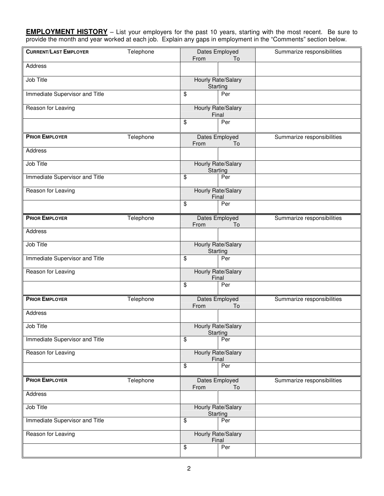**EMPLOYMENT HISTORY** – List your employers for the past 10 years, starting with the most recent. Be sure to provide the month and year worked at each job. Explain any gaps in employment in the "Comments" section below.

| <b>CURRENT/LAST EMPLOYER</b>   | Telephone | Dates Employed          |                                | Summarize responsibilities |
|--------------------------------|-----------|-------------------------|--------------------------------|----------------------------|
| Address                        |           | From                    | To                             |                            |
|                                |           |                         |                                |                            |
| Job Title                      |           |                         | Hourly Rate/Salary<br>Starting |                            |
| Immediate Supervisor and Title |           | \$                      | Per                            |                            |
| Reason for Leaving             |           |                         | Hourly Rate/Salary<br>Final    |                            |
|                                |           | \$                      | Per                            |                            |
| <b>PRIOR EMPLOYER</b>          | Telephone | From                    | Dates Employed<br>To           | Summarize responsibilities |
| Address                        |           |                         |                                |                            |
| Job Title                      |           |                         | Hourly Rate/Salary<br>Starting |                            |
| Immediate Supervisor and Title |           | \$                      | Per                            |                            |
| Reason for Leaving             |           |                         | Hourly Rate/Salary<br>Final    |                            |
|                                |           | \$                      | Per                            |                            |
| <b>PRIOR EMPLOYER</b>          | Telephone | From                    | Dates Employed<br>To           | Summarize responsibilities |
| Address                        |           |                         |                                |                            |
| Job Title                      |           |                         | Hourly Rate/Salary<br>Starting |                            |
| Immediate Supervisor and Title |           | \$                      | Per                            |                            |
| Reason for Leaving             |           |                         | Hourly Rate/Salary<br>Final    |                            |
|                                |           | \$                      | Per                            |                            |
| <b>PRIOR EMPLOYER</b>          | Telephone | From                    | Dates Employed<br>To           | Summarize responsibilities |
| Address                        |           |                         |                                |                            |
| Job Title                      |           |                         | Hourly Rate/Salary<br>Starting |                            |
| Immediate Supervisor and Title |           | \$                      | Per                            |                            |
| Reason for Leaving             |           |                         | Hourly Rate/Salary<br>Final    |                            |
|                                |           | \$                      | Per                            |                            |
| <b>PRIOR EMPLOYER</b>          | Telephone | From                    | Dates Employed<br>To           | Summarize responsibilities |
| Address                        |           |                         |                                |                            |
| <b>Job Title</b>               |           |                         | Hourly Rate/Salary<br>Starting |                            |
| Immediate Supervisor and Title |           | \$                      | Per                            |                            |
| Reason for Leaving             |           |                         | Hourly Rate/Salary<br>Final    |                            |
|                                |           | $\overline{\mathbf{e}}$ | Per                            |                            |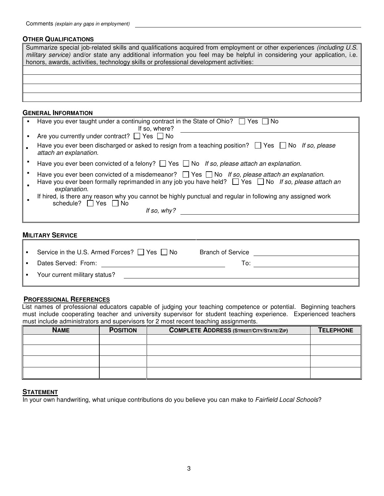## **OTHER QUALIFICATIONS**

| Summarize special job-related skills and qualifications acquired from employment or other experiences (including U.S.<br>military service) and/or state any additional information you feel may be helpful in considering your application, i.e.<br>honors, awards, activities, technology skills or professional development activities: |
|-------------------------------------------------------------------------------------------------------------------------------------------------------------------------------------------------------------------------------------------------------------------------------------------------------------------------------------------|
|                                                                                                                                                                                                                                                                                                                                           |
|                                                                                                                                                                                                                                                                                                                                           |
|                                                                                                                                                                                                                                                                                                                                           |
|                                                                                                                                                                                                                                                                                                                                           |
|                                                                                                                                                                                                                                                                                                                                           |

### **GENERAL INFORMATION**

| Have you ever taught under a continuing contract in the State of Ohio? $\Box$ Yes $\Box$ No<br>If so, where?                                                                                                                               |
|--------------------------------------------------------------------------------------------------------------------------------------------------------------------------------------------------------------------------------------------|
| Are you currently under contract? $\Box$ Yes $\Box$ No                                                                                                                                                                                     |
| Have you ever been discharged or asked to resign from a teaching position? $\Box$ Yes $\Box$ No If so, please<br>attach an explanation.                                                                                                    |
| Have you ever been convicted of a felony? $\Box$ Yes $\Box$ No If so, please attach an explanation.                                                                                                                                        |
| Have you ever been convicted of a misdemeanor? $\Box$ Yes $\Box$ No If so, please attach an explanation.<br>Have you ever been formally reprimanded in any job you have held? $\Box$ Yes $\Box$ No If so, please attach an<br>explanation. |
| If hired, is there any reason why you cannot be highly punctual and regular in following any assigned work<br>schedule? $\Box$ Yes $\Box$ No                                                                                               |
| If so, why?                                                                                                                                                                                                                                |

#### **MILITARY SERVICE**

| Service in the U.S. Armed Forces? $\Box$ Yes $\Box$ No | <b>Branch of Service</b> |  |
|--------------------------------------------------------|--------------------------|--|
| Dates Served: From:                                    | To:                      |  |
| Your current military status?                          |                          |  |
|                                                        |                          |  |

## **PROFESSIONAL REFERENCES**

 List names of professional educators capable of judging your teaching competence or potential. Beginning teachers must include cooperating teacher and university supervisor for student teaching experience. Experienced teachers must include administrators and supervisors for 2 most recent teaching assignments.

| <b>NAME</b> | <b>POSITION</b> | <b>COMPLETE ADDRESS (STREET/CITY/STATE/ZIP)</b> | <b>TELEPHONE</b> |
|-------------|-----------------|-------------------------------------------------|------------------|
|             |                 |                                                 |                  |
|             |                 |                                                 |                  |
|             |                 |                                                 |                  |
|             |                 |                                                 |                  |

# **STATEMENT**

In your own handwriting, what unique contributions do you believe you can make to Fairfield Local Schools?